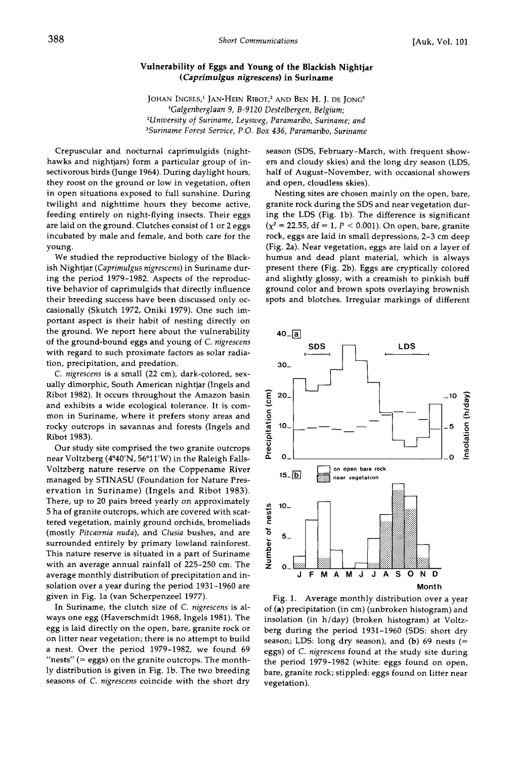## **Vulnerability of Eggs and Young of the Blackish Nightjar ( Caprimulgus nigrescens) in Suriname**

JOHAN INGELS,<sup>1</sup> JAN-HEIN RIBOT,<sup>2</sup> AND BEN H. J. DE JONG<sup>3</sup> **•Galgenberglaan 9, B-9120 Destelbergen, Belgium; 2University of Suriname, Leysweg, Paramaribo, Suriname; and 3Suriname Forest Service, P.O. Box 436, Paramaribo, Suriname** 

**Crepuscular and nocturnal caprimulgids (nighthawks and nightjars) form a particular group of insectivorous birds (Junge 1964). During daylight hours, they roost on the ground or low in vegetation, often in open situations exposed to full sunshine. During twilight and nighttime hours they become active, feeding entirely on night-flying insects. Their eggs are laid on the ground. Clutches consist of I or 2 eggs incubated by male and female, and both care for the young.** 

**We studied the reproductive biology of the Blackish Nightjar (Caprimulgus nigrescens) in Suriname during the period 1979-1982. Aspects of the reproductive behavior of caprimulgids that directly influence their breeding success have been discussed only occasionally (Skutch 1972, Oniki 1979). One such important aspect is their habit of nesting directly on the ground. We report here about the vulnerability of the ground-bound eggs and young of C. nigrescens with regard to such proximate factors as solar radiation, precipitation, and predation.** 

**C. nigrescens is a small (22 cm), dark-colored, sexually dimorphic, South American nightjar (Ingels and Ribot 1982). It occurs throughout the Amazon basin and exhibits a wide ecological tolerance. It is common in Suriname, where it prefers stony areas and rocky outcrops in savannas and forests (Ingels and Ribot 1983).** 

**Our study site comprised the two granite outcrops near Voltzberg (4ø40'N, 56ø11'W) in the Raleigh Falls-Voltzberg nature reserve on the Coppename River managed by STINASU (Foundation for Nature Preservation in Suriname) (Ingels and Ribot 1983). There, up to 20 pairs breed yearly on approximately 5 ha of granite outcrops, which are covered with scattered vegetation, mainly ground orchids, bromeliads (mostly Pitcairnia nuda), and Clusia bushes, and are surrounded entirely by primary lowland rainforest. This nature reserve is situated in a part of Suriname with an average annual rainfall of 225-250 cm. The average monthly distribution of precipitation and insolation over a year during the period 1931-1960 are given in Fig. la (van Scherpenzeel 1977).** 

**In Suriname, the clutch size of C. nigrescens ialways one egg (Hayerschmidt 1968, Ingels 1981). The egg is laid directly on the open, bare, granite rock or on litter near vegetation; there is no attempt to build a nest. Over the period 1979-1982, we found 69 "nests" (= eggs) on the granite outcrops. The monthly distribution is given in Fig. lb. The two breeding seasons of C. nigrescens coincide with the short dry** 

**season (SDS, February-March, with frequent showers and cloudy skies) and the long dry season (LDS, half of August-November, with occasional showers and open, cloudless skies).** 

**Nesting sites are chosen mainly on the open, bare, granite rock during the SDS and near vegetation during the LDS (Fig. lb). The difference is significant**   $(x^2 = 22.55, df = 1, P < 0.001)$ . On open, bare, granite **rock, eggs are laid in small depressions, 2-3 cm deep (Fig. 2a). Near vegetation, eggs are laid on a layer of humus and dead plant material, which is always present there (Fig. 2b). Eggs are cryptically colored and slightly glossy, with a creamish to pinkish buff ground color and brown spots overlaying brownish spots and blotches. Irregular markings of different** 



**Fig. 1. Average monthly distribution over a year of (a) precipitation (in cm) (unbroken histogram) and insolation (in h/day) (broken histogram) at Voltzberg during the period 1931-1960 (SDS: short dry season; LDS: long dry season), and (b) 69 nests (= eggs) of C. nigrescens found at the study site during the period 1979-1982 (white: eggs found on open, bare, granite rock; stippled: eggs found on litter near vegetation).**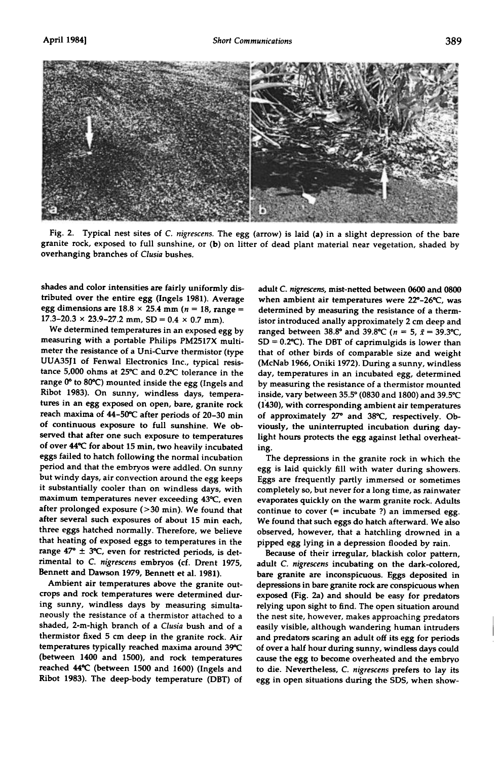

**Fig. 2. Typical nest sites of C. nigrescens. The egg (arrow) is laid (a) in a slight depression of the bare granite rock, exposed to full sunshine, or (b) on litter of dead plant material near vegetation, shaded by overhanging branches of C!usia bushes.** 

**shades and color intensities are fairly uniformly distributed over the entire egg (Ingels 1981). Average**  egg dimensions are  $18.8 \times 25.4$  mm ( $n = 18$ , range =  $17.3 - 20.3 \times 23.9 - 27.2 \text{ mm}$ ,  $SD = 0.4 \times 0.7 \text{ mm}$ ).

**We determined temperatures in an exposed egg by measuring with a portable Philips PM2517X multi**meter the resistance of a Uni-Curve thermistor (type **UUA35J1 of Fenwal Electronics Inc., typical resis**tance 5,000 ohms at 25°C and 0.2°C tolerance in the range 0° to 80°C) mounted inside the egg (Ingels and **Ribot 1983). On sunny, windless days, temperatures in an egg exposed on open, bare, granite rock**  reach maxima of 44-50°C after periods of 20-30 min **of continuous exposure to full sunshine. We observed that after one such exposure to temperatures of over 440C for about 15 min, two heavily incubated eggs failed to hatch following the normal incubation period and that the embryos were addled. On sunny but windy days, air convection around the egg keeps it substantially cooler than on windless days, with maximum temperatures never exceeding 430C, even after prolonged exposure (>30 min). We found that after several such exposures of about 15 min each, three eggs hatched normally. Therefore, we believe that heating of exposed eggs to temperatures in the**  range 47°  $\pm$  3°C, even for restricted periods, is det**rimental to C. nigrescens embryos (cf. Drent 1975, Bennett and Dawson 1979, Bennett et al. 1981).** 

**Ambient air temperatures above the granite outcrops and rock temperatures were determined during sunny, windless days by measuring simultaneously the resistance of a thermistor attached to a**  shaded, 2-m-high branch of a Clusia bush and of a **thermistor fixed 5 cm deep in the granite rock. Air temperatures typically reached maxima around 390C (between 1400 and 1500), and rock temperatures reached 440C (between 1500 and 1600) (Ingels and Ribot 1983). The deep-body temperature (DBT) of** 

**adult C. nigrescens, mist-netted between 0600 and 0800**  when ambient air temperatures were 22°-26°C, was **determined by measuring the resistance of a thermistor introduced anally approximately 2 cm deep and**  ranged between 38.8° and 39.8°C ( $n = 5$ ,  $\bar{x} = 39.3$ °C, **SD = 0.2øC). The DBT of caprimulgids is lower than that of other birds of comparable size and weight (McNab 1966, Oniki 1972). During a sunny, windless day, temperatures in an incubated egg, determined by measuring the resistance of a thermistor mounted inside, vary between 35.5 ø (0830 and 1800) and 39.50C (1•30), with corresponding ambient air temperatures of approximately 270 and 38øC, respectively. Obviously, the uninterrupted incubation during daylight hours protects the egg against lethal overheating.** 

**The depressions in the granite rock in which the egg is laid quickly fill with water during showers. Eggs are frequently partly immersed or sometimes completely so, but never for a long time, as rainwater evaporates quickly on the warm granite rock. Adults continue to cover (= incubate ?) an immersed egg. We found that such eggs do hatch afterward. We also observed, however, that a hatchling drowned in a pipped egg lying in a depression flooded by rain.** 

**Because of their irregular, blackish color pattern, adult C. nigrescens incubating on the dark-colored, bare granite are inconspicuous. Eggs deposited in depressions inbare granite rock are conspicuous when exposed (Fig. 2a) and should be easy for predators relying upon sight to find. The open situation around the nest site, however, makes approaching predators easily visible, although wandering human intruders and predators scaring an adult off its egg for periods of over a half hour during sunny, windless days could cause the egg to become overheated and the embryo to die. Nevertheless, C. nigrescens prefers to lay its egg in open situations during the SDS, when show-**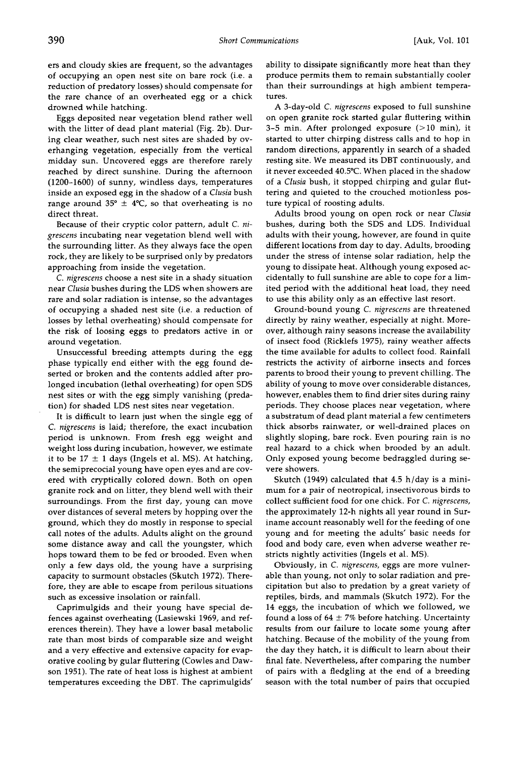**ers and cloudy skies are frequent, so the advantages of occupying an open nest site on bare rock (i.e. a reduction of predatory losses) should compensate for the rare chance of an overheated egg or a chick drowned while hatching.** 

**Eggs deposited near vegetation blend rather well with the litter of dead plant material (Fig. 2b). During clear weather, such nest sites are shaded by overhanging vegetation, especially from the vertical midday sun. Uncovered eggs are therefore rarely reached by direct sunshine. During the afternoon (1200-1600) of sunny, windless days, temperatures inside an exposed egg in the shadow of a Clusia bush**  range around  $35^{\circ} \pm 4^{\circ}C$ , so that overheating is no **direct threat.** 

**Because of their cryptic color pattern, adult C. nigrescens incubating near vegetation blend well with the surrounding litter. As they always face the open rock, they are likely to be surprised only by predators approaching from inside the vegetation.** 

**C. nigrescens choose a nest site in a shady situation near Clusia bushes during the LDS when showers are rare and solar radiation is intense, so the advantages of occupying a shaded nest site (i.e. a reduction of losses by lethal overheating) should compensate for the risk of loosing eggs to predators active in or around vegetation.** 

**Unsuccessful breeding attempts during the egg phase typically end either with the egg found deserted or broken and the contents addled after prolonged incubation (lethal overheating) for open SDS nest sites or with the egg simply vanishing (predation) for shaded LDS nest sites near vegetation.** 

**It is difficult to learn just when the single egg of C. nigrescens is laid; therefore, the exact incubation period is unknown. From fresh egg weight and weight loss during incubation, however, we estimate**  it to be  $17 \pm 1$  days (Ingels et al. MS). At hatching, **the semiprecocial young have open eyes and are covered with cryptically colored down. Both on open granite rock and on litter, they blend well with their surroundings. From the first day, young can move over distances of several meters by hopping over the ground, which they do mostly in response to special call notes of the adults. Adults alight on the ground some distance away and call the youngster, which hops toward them to be fed or brooded. Even when only a few days old, the young have a surprising capacity to surmount obstacles (Skutch 1972). Therefore, they are able to escape from perilous situations such as excessive insolation or rainfall.** 

**Caprimulgids and their young have special defences against overheating (Lasiewski 1969, and references therein). They have a lower basal metabolic rate than most birds of comparable size and weight and a very effective and extensive capacity for evaporative cooling by gular fluttering (Cowles and Dawson 1951). The rate of heat loss is highest at ambient temperatures exceeding the DBT. The caprimulgids'**  **ability to dissipate significantly more heat than they produce permits them to remain substantially cooler than their surroundings at high ambient temperatures.** 

**A 3-day-old C. nigrescens exposed to full sunshine on open granite rock started gular fluttering within 3-5 min. After prolonged exposure (>10 min), it started to utter chirping distress calls and to hop in random directions, apparently in search of a shaded resting site. We measured its DBT continuously, and it never exceeded 40.5øC. When placed in the shadow of a Clusia bush, it stopped chirping and gular fluttering and quieted to the crouched motionless posture typical of roosting adults.** 

**Adults brood young on open rock or near Clusia bushes, during both the SDS and LDS. Individual adults with their young, however, are found in quite different locations from day to day. Adults, brooding under the stress of intense solar radiation, help the young to dissipate heat. Although young exposed accidentally to full sunshine are able to cope for a limited period with the additional heat load, they need to use this ability only as an effective last resort.** 

**Ground-bound young C. nigrescens are threatened directly by rainy weather, especially at night. Moreover, although rainy seasons increase the availability of insect food (Ricklefs 1975), rainy weather affects the time available for adults to collect food. Rainfall restricts the activity of airborne insects and forces parents to brood their young to prevent chilling. The ability of young to move over considerable distances, however, enables them to find drier sites during rainy periods. They choose places near vegetation, where a substratum of dead plant material a few centimeters thick absorbs rainwater, or well-drained places on slightly sloping, bare rock. Even pouring rain is no real hazard to a chick when brooded by an adult. Only exposed young become bedraggled during severe showers.** 

**Skutch (1949) calculated that 4.5 h/day is a minimum for a pair of neotropical, insectivorous birds to collect sufficient food for one chick. For C. nigrescens, the approximately 12-h nights all year round in Suriname account reasonably well for the feeding of one young and for meeting the adults' basic needs for food and body care, even when adverse weather restricts nightly activities (Ingels et al. MS).** 

**Obviously, in C. nigrescens, eggs are more vulnerable than young, not only to solar radiation and precipitation but also to predation by a great variety of reptiles, birds, and mammals (Skutch 1972). For the 14 eggs, the incubation of which we followed, we**  found a loss of  $64 \pm 7\%$  before hatching. Uncertainty **results from our failure to locate some young after hatching. Because of the mobility of the young from the day they hatch, it is difficult to learn about their final fate. Nevertheless, after comparing the number of pairs with a fledgling at the end of a breeding season with the total number of pairs that occupied**